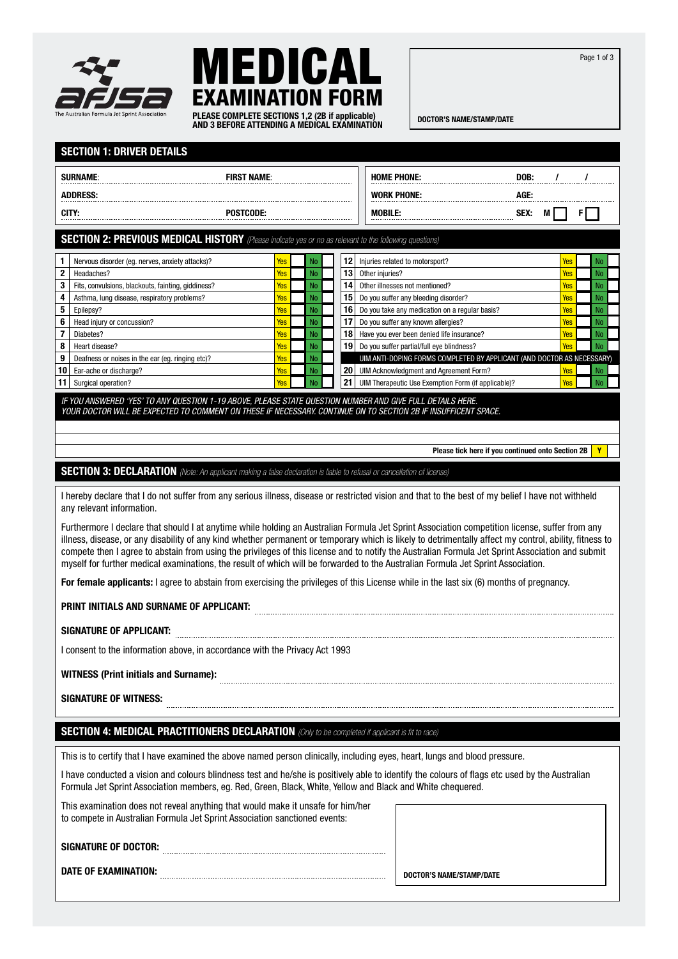Page 1 of 3





DOCTOR'S NAME/STAMP/DATE PLEASE COMPLETE SECTIONS 1,2 (2B if applicable) AND 3 BEFORE ATTENDING A MEDICAL EXAMINATION

|                                                                                                                                                                                                                                                                                                                                                                                                                                                                                                                                                                                                  | <b>SECTION 1: DRIVER DETAILS</b>                                                                                                                                                                                             |            |                        |                       |  |                                                                        |      |   |            |    |                 |
|--------------------------------------------------------------------------------------------------------------------------------------------------------------------------------------------------------------------------------------------------------------------------------------------------------------------------------------------------------------------------------------------------------------------------------------------------------------------------------------------------------------------------------------------------------------------------------------------------|------------------------------------------------------------------------------------------------------------------------------------------------------------------------------------------------------------------------------|------------|------------------------|-----------------------|--|------------------------------------------------------------------------|------|---|------------|----|-----------------|
|                                                                                                                                                                                                                                                                                                                                                                                                                                                                                                                                                                                                  | <b>SURNAME:</b><br><b>FIRST NAME:</b>                                                                                                                                                                                        |            |                        |                       |  | <b>HOME PHONE:</b>                                                     | DOB: |   |            |    |                 |
| <b>ADDRESS:</b>                                                                                                                                                                                                                                                                                                                                                                                                                                                                                                                                                                                  |                                                                                                                                                                                                                              |            |                        |                       |  | <b>WORK PHONE:</b>                                                     | AGE: |   |            |    |                 |
| CITY:<br><b>POSTCODE:</b>                                                                                                                                                                                                                                                                                                                                                                                                                                                                                                                                                                        |                                                                                                                                                                                                                              |            |                        |                       |  | <b>MOBILE:</b>                                                         | SEX: | M |            | FΙ |                 |
|                                                                                                                                                                                                                                                                                                                                                                                                                                                                                                                                                                                                  |                                                                                                                                                                                                                              |            |                        |                       |  |                                                                        |      |   |            |    |                 |
|                                                                                                                                                                                                                                                                                                                                                                                                                                                                                                                                                                                                  | <b>SECTION 2: PREVIOUS MEDICAL HISTORY</b> (Please indicate yes or no as relevant to the following questions)                                                                                                                |            |                        |                       |  |                                                                        |      |   |            |    |                 |
| 1                                                                                                                                                                                                                                                                                                                                                                                                                                                                                                                                                                                                | Nervous disorder (eg. nerves, anxiety attacks)?                                                                                                                                                                              | Yes        | No                     | 12                    |  | Injuries related to motorsport?                                        |      |   | Yes        |    | No              |
| $\mathbf 2$                                                                                                                                                                                                                                                                                                                                                                                                                                                                                                                                                                                      | Headaches?                                                                                                                                                                                                                   | Yes        | <b>No</b>              | 13                    |  | Other injuries?                                                        |      |   | Yes        |    | <b>No</b>       |
| 3<br>4                                                                                                                                                                                                                                                                                                                                                                                                                                                                                                                                                                                           | Fits, convulsions, blackouts, fainting, giddiness?<br>Asthma, lung disease, respiratory problems?                                                                                                                            | Yes<br>Yes | <b>No</b><br><b>No</b> | 14<br>15 <sup>1</sup> |  | Other illnesses not mentioned?<br>Do you suffer any bleeding disorder? |      |   | Yes<br>Yes |    | <b>No</b><br>No |
| 5                                                                                                                                                                                                                                                                                                                                                                                                                                                                                                                                                                                                | Epilepsy?                                                                                                                                                                                                                    | Yes        | No                     | 16                    |  | Do you take any medication on a regular basis?                         |      |   | Yes        |    | No              |
| 6                                                                                                                                                                                                                                                                                                                                                                                                                                                                                                                                                                                                | Head injury or concussion?                                                                                                                                                                                                   | Yes        | <b>No</b>              | 17                    |  | Do you suffer any known allergies?                                     |      |   | Yes        |    | No              |
| 7                                                                                                                                                                                                                                                                                                                                                                                                                                                                                                                                                                                                | Diabetes?                                                                                                                                                                                                                    | Yes        | <b>No</b>              | 18                    |  | Have you ever been denied life insurance?                              |      |   | Yes        |    | No              |
| 8                                                                                                                                                                                                                                                                                                                                                                                                                                                                                                                                                                                                | Heart disease?                                                                                                                                                                                                               | Yes        | <b>No</b>              | 19                    |  | Do you suffer partial/full eye blindness?                              |      |   | Yes        |    | <b>No</b>       |
| 9                                                                                                                                                                                                                                                                                                                                                                                                                                                                                                                                                                                                | Deafness or noises in the ear (eg. ringing etc)?                                                                                                                                                                             | Yes        | <b>No</b>              |                       |  | UIM ANTI-DOPING FORMS COMPLETED BY APPLICANT (AND DOCTOR AS NECESSARY) |      |   |            |    |                 |
| 10                                                                                                                                                                                                                                                                                                                                                                                                                                                                                                                                                                                               | Ear-ache or discharge?                                                                                                                                                                                                       | Yes        | <b>No</b>              | 20 <sub>2</sub><br>21 |  | UIM Acknowledgment and Agreement Form?                                 |      |   | Yes        |    | No              |
| 11                                                                                                                                                                                                                                                                                                                                                                                                                                                                                                                                                                                               | Surgical operation?                                                                                                                                                                                                          | Yes        | <b>No</b>              |                       |  | UIM Therapeutic Use Exemption Form (if applicable)?                    |      |   | Yes        |    | No              |
|                                                                                                                                                                                                                                                                                                                                                                                                                                                                                                                                                                                                  | IF YOU ANSWERED 'YES' TO ANY QUESTION 1-19 ABOVE, PLEASE STATE QUESTION NUMBER AND GIVE FULL DETAILS HERE.<br>YOUR DOCTOR WILL BE EXPECTED TO COMMENT ON THESE IF NECESSARY. CONTINUE ON TO SECTION 2B IF INSUFFICENT SPACE. |            |                        |                       |  |                                                                        |      |   |            |    |                 |
|                                                                                                                                                                                                                                                                                                                                                                                                                                                                                                                                                                                                  |                                                                                                                                                                                                                              |            |                        |                       |  |                                                                        |      |   |            |    |                 |
|                                                                                                                                                                                                                                                                                                                                                                                                                                                                                                                                                                                                  | Please tick here if you continued onto Section 2B<br>Y                                                                                                                                                                       |            |                        |                       |  |                                                                        |      |   |            |    |                 |
|                                                                                                                                                                                                                                                                                                                                                                                                                                                                                                                                                                                                  | <b>SECTION 3: DECLARATION</b> (Note: An applicant making a false declaration is liable to refusal or cancellation of license)                                                                                                |            |                        |                       |  |                                                                        |      |   |            |    |                 |
|                                                                                                                                                                                                                                                                                                                                                                                                                                                                                                                                                                                                  |                                                                                                                                                                                                                              |            |                        |                       |  |                                                                        |      |   |            |    |                 |
|                                                                                                                                                                                                                                                                                                                                                                                                                                                                                                                                                                                                  | I hereby declare that I do not suffer from any serious illness, disease or restricted vision and that to the best of my belief I have not withheld<br>any relevant information.                                              |            |                        |                       |  |                                                                        |      |   |            |    |                 |
| Furthermore I declare that should I at anytime while holding an Australian Formula Jet Sprint Association competition license, suffer from any<br>illness, disease, or any disability of any kind whether permanent or temporary which is likely to detrimentally affect my control, ability, fitness to<br>compete then I agree to abstain from using the privileges of this license and to notify the Australian Formula Jet Sprint Association and submit<br>myself for further medical examinations, the result of which will be forwarded to the Australian Formula Jet Sprint Association. |                                                                                                                                                                                                                              |            |                        |                       |  |                                                                        |      |   |            |    |                 |
|                                                                                                                                                                                                                                                                                                                                                                                                                                                                                                                                                                                                  | For female applicants: I agree to abstain from exercising the privileges of this License while in the last six (6) months of pregnancy.                                                                                      |            |                        |                       |  |                                                                        |      |   |            |    |                 |
|                                                                                                                                                                                                                                                                                                                                                                                                                                                                                                                                                                                                  | PRINT INITIALS AND SURNAME OF APPLICANT:                                                                                                                                                                                     |            |                        |                       |  |                                                                        |      |   |            |    |                 |
|                                                                                                                                                                                                                                                                                                                                                                                                                                                                                                                                                                                                  | <b>SIGNATURE OF APPLICANT:</b>                                                                                                                                                                                               |            |                        |                       |  |                                                                        |      |   |            |    |                 |
|                                                                                                                                                                                                                                                                                                                                                                                                                                                                                                                                                                                                  | I consent to the information above, in accordance with the Privacy Act 1993                                                                                                                                                  |            |                        |                       |  |                                                                        |      |   |            |    |                 |
|                                                                                                                                                                                                                                                                                                                                                                                                                                                                                                                                                                                                  | <b>WITNESS (Print initials and Surname):</b>                                                                                                                                                                                 |            |                        |                       |  |                                                                        |      |   |            |    |                 |
|                                                                                                                                                                                                                                                                                                                                                                                                                                                                                                                                                                                                  | <b>SIGNATURE OF WITNESS:</b>                                                                                                                                                                                                 |            |                        |                       |  |                                                                        |      |   |            |    |                 |
|                                                                                                                                                                                                                                                                                                                                                                                                                                                                                                                                                                                                  | <b>SECTION 4: MEDICAL PRACTITIONERS DECLARATION</b> (Only to be completed if applicant is fit to race)                                                                                                                       |            |                        |                       |  |                                                                        |      |   |            |    |                 |
|                                                                                                                                                                                                                                                                                                                                                                                                                                                                                                                                                                                                  | This is to certify that I have examined the above named person clinically, including eyes, heart, lungs and blood pressure.                                                                                                  |            |                        |                       |  |                                                                        |      |   |            |    |                 |
| I have conducted a vision and colours blindness test and he/she is positively able to identify the colours of flags etc used by the Australian<br>Formula Jet Sprint Association members, eg. Red, Green, Black, White, Yellow and Black and White chequered.                                                                                                                                                                                                                                                                                                                                    |                                                                                                                                                                                                                              |            |                        |                       |  |                                                                        |      |   |            |    |                 |
|                                                                                                                                                                                                                                                                                                                                                                                                                                                                                                                                                                                                  | This examination does not reveal anything that would make it unsafe for him/her<br>to compete in Australian Formula Jet Sprint Association sanctioned events:                                                                |            |                        |                       |  |                                                                        |      |   |            |    |                 |
|                                                                                                                                                                                                                                                                                                                                                                                                                                                                                                                                                                                                  | <b>SIGNATURE OF DOCTOR:</b>                                                                                                                                                                                                  |            |                        |                       |  |                                                                        |      |   |            |    |                 |
|                                                                                                                                                                                                                                                                                                                                                                                                                                                                                                                                                                                                  |                                                                                                                                                                                                                              |            |                        |                       |  |                                                                        |      |   |            |    |                 |
|                                                                                                                                                                                                                                                                                                                                                                                                                                                                                                                                                                                                  | <b>DATE OF EXAMINATION:</b>                                                                                                                                                                                                  |            |                        |                       |  | DOCTOR'S NAME/STAMP/DATE                                               |      |   |            |    |                 |
|                                                                                                                                                                                                                                                                                                                                                                                                                                                                                                                                                                                                  |                                                                                                                                                                                                                              |            |                        |                       |  |                                                                        |      |   |            |    |                 |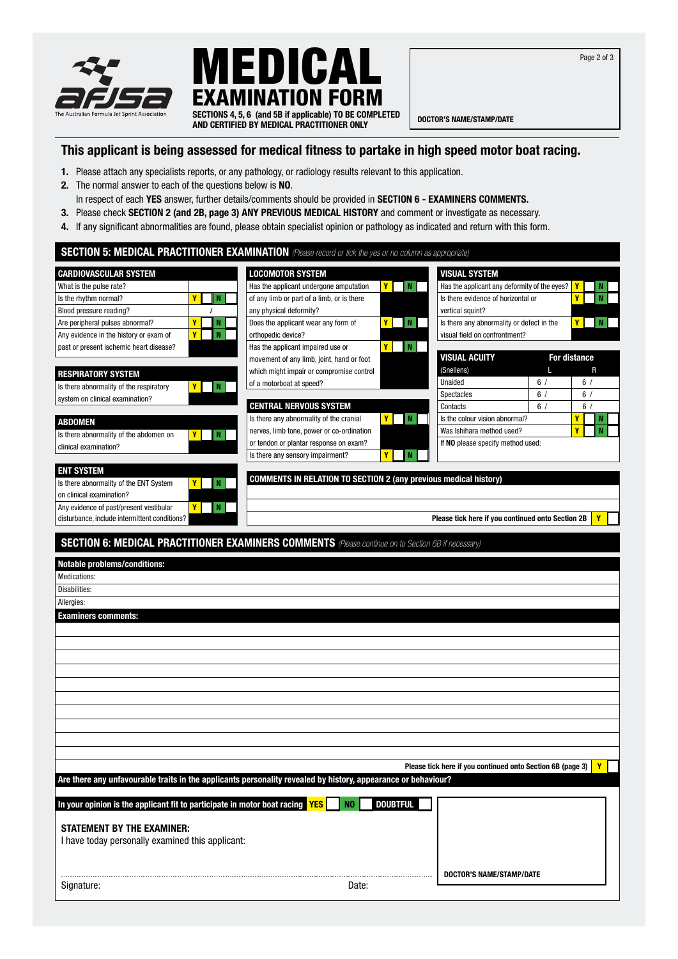





AND CERTIFIED BY MEDICAL PRACTITIONER ONLY

## This applicant is being assessed for medical fitness to partake in high speed motor boat racing.

- 1. Please attach any specialists reports, or any pathology, or radiology results relevant to this application.
- 2. The normal answer to each of the questions below is NO.
- In respect of each YES answer, further details/comments should be provided in SECTION 6 EXAMINERS COMMENTS.
- 3. Please check SECTION 2 (and 2B, page 3) ANY PREVIOUS MEDICAL HISTORY and comment or investigate as necessary.
- 4. If any significant abnormalities are found, please obtain specialist opinion or pathology as indicated and return with this form.

|                                                                          |          | <b>SECTION 5: MEDICAL PRACTITIONER EXAMINATION</b> (Please record or tick the yes or no column as appropriate) |                            |                                                            |    |                     |   |
|--------------------------------------------------------------------------|----------|----------------------------------------------------------------------------------------------------------------|----------------------------|------------------------------------------------------------|----|---------------------|---|
| <b>CARDIOVASCULAR SYSTEM</b>                                             |          | <b>LOCOMOTOR SYSTEM</b>                                                                                        |                            | <b>VISUAL SYSTEM</b>                                       |    |                     |   |
| What is the pulse rate?                                                  |          | Has the applicant undergone amputation                                                                         | <b>Y</b>  <br>$\mathbf{N}$ | Has the applicant any deformity of the eyes?               |    | Y                   | N |
| Is the rhythm normal?                                                    | Y<br>N   | of any limb or part of a limb, or is there                                                                     |                            | Is there evidence of horizontal or                         |    | Y                   | N |
| Blood pressure reading?                                                  | $\prime$ | any physical deformity?                                                                                        |                            | vertical squint?                                           |    |                     |   |
| Are peripheral pulses abnormal?                                          | Y<br>N   | Does the applicant wear any form of                                                                            | $\mathbf N$<br>Y I         | Is there any abnormality or defect in the                  |    | Y                   | N |
| Any evidence in the history or exam of                                   | N<br>Y   | orthopedic device?                                                                                             |                            | visual field on confrontment?                              |    |                     |   |
| past or present ischemic heart disease?                                  |          | Has the applicant impaired use or                                                                              | Y<br>N                     |                                                            |    |                     |   |
|                                                                          |          | movement of any limb, joint, hand or foot                                                                      |                            | <b>VISUAL ACUITY</b>                                       |    | <b>For distance</b> |   |
| <b>RESPIRATORY SYSTEM</b>                                                |          | which might impair or compromise control                                                                       |                            | (Snellens)                                                 | п  | R                   |   |
| Is there abnormality of the respiratory                                  | Y<br>  N | of a motorboat at speed?                                                                                       |                            | Unaided                                                    | 6/ | 6/                  |   |
| system on clinical examination?                                          |          |                                                                                                                |                            | Spectacles                                                 | 6/ | 6/                  |   |
|                                                                          |          | <b>CENTRAL NERVOUS SYSTEM</b>                                                                                  |                            | Contacts                                                   | 6/ | 6/                  |   |
| ABDOMEN                                                                  |          | Is there any abnormality of the cranial                                                                        | Y<br>N                     | Is the colour vision abnormal?                             |    | Y                   | N |
| Is there abnormality of the abdomen on                                   | N<br>Y   | nerves, limb tone, power or co-ordination                                                                      |                            | Was Ishihara method used?                                  |    | Y                   | N |
| clinical examination?                                                    |          | or tendon or plantar response on exam?                                                                         |                            | If NO please specify method used:                          |    |                     |   |
|                                                                          |          | Is there any sensory impairment?                                                                               | Y<br>N                     |                                                            |    |                     |   |
| <b>ENT SYSTEM</b>                                                        |          |                                                                                                                |                            |                                                            |    |                     |   |
| Is there abnormality of the ENT System                                   | N<br>Y   | <b>COMMENTS IN RELATION TO SECTION 2 (any previous medical history)</b>                                        |                            |                                                            |    |                     |   |
| on clinical examination?                                                 |          |                                                                                                                |                            |                                                            |    |                     |   |
| Any evidence of past/present vestibular                                  | Y<br>N   |                                                                                                                |                            |                                                            |    |                     |   |
| disturbance, include intermittent conditions?                            |          |                                                                                                                |                            | Please tick here if you continued onto Section 2B          |    |                     | Y |
|                                                                          |          |                                                                                                                |                            |                                                            |    |                     |   |
|                                                                          |          | <b>SECTION 6: MEDICAL PRACTITIONER EXAMINERS COMMENTS</b> (Please continue on to Section 6B if necessary)      |                            |                                                            |    |                     |   |
|                                                                          |          |                                                                                                                |                            |                                                            |    |                     |   |
| <b>Notable problems/conditions:</b>                                      |          |                                                                                                                |                            |                                                            |    |                     |   |
| Medications:                                                             |          |                                                                                                                |                            |                                                            |    |                     |   |
| Disabilities:                                                            |          |                                                                                                                |                            |                                                            |    |                     |   |
| Allergies:                                                               |          |                                                                                                                |                            |                                                            |    |                     |   |
| <b>Examiners comments:</b>                                               |          |                                                                                                                |                            |                                                            |    |                     |   |
|                                                                          |          |                                                                                                                |                            |                                                            |    |                     |   |
|                                                                          |          |                                                                                                                |                            |                                                            |    |                     |   |
|                                                                          |          |                                                                                                                |                            |                                                            |    |                     |   |
|                                                                          |          |                                                                                                                |                            |                                                            |    |                     |   |
|                                                                          |          |                                                                                                                |                            |                                                            |    |                     |   |
|                                                                          |          |                                                                                                                |                            |                                                            |    |                     |   |
|                                                                          |          |                                                                                                                |                            |                                                            |    |                     |   |
|                                                                          |          |                                                                                                                |                            |                                                            |    |                     |   |
|                                                                          |          |                                                                                                                |                            |                                                            |    |                     |   |
|                                                                          |          |                                                                                                                |                            |                                                            |    |                     |   |
|                                                                          |          |                                                                                                                |                            |                                                            |    |                     |   |
|                                                                          |          |                                                                                                                |                            | Please tick here if you continued onto Section 6B (page 3) |    |                     | Y |
|                                                                          |          | Are there any unfavourable traits in the applicants personality revealed by history, appearance or behaviour?  |                            |                                                            |    |                     |   |
|                                                                          |          |                                                                                                                |                            |                                                            |    |                     |   |
| In your opinion is the applicant fit to participate in motor boat racing |          | <b>YES</b><br>N <sub>0</sub>                                                                                   | <b>DOUBTFUL</b>            |                                                            |    |                     |   |
|                                                                          |          |                                                                                                                |                            |                                                            |    |                     |   |
| <b>STATEMENT BY THE EXAMINER:</b>                                        |          |                                                                                                                |                            |                                                            |    |                     |   |
| I have today personally examined this applicant:                         |          |                                                                                                                |                            |                                                            |    |                     |   |